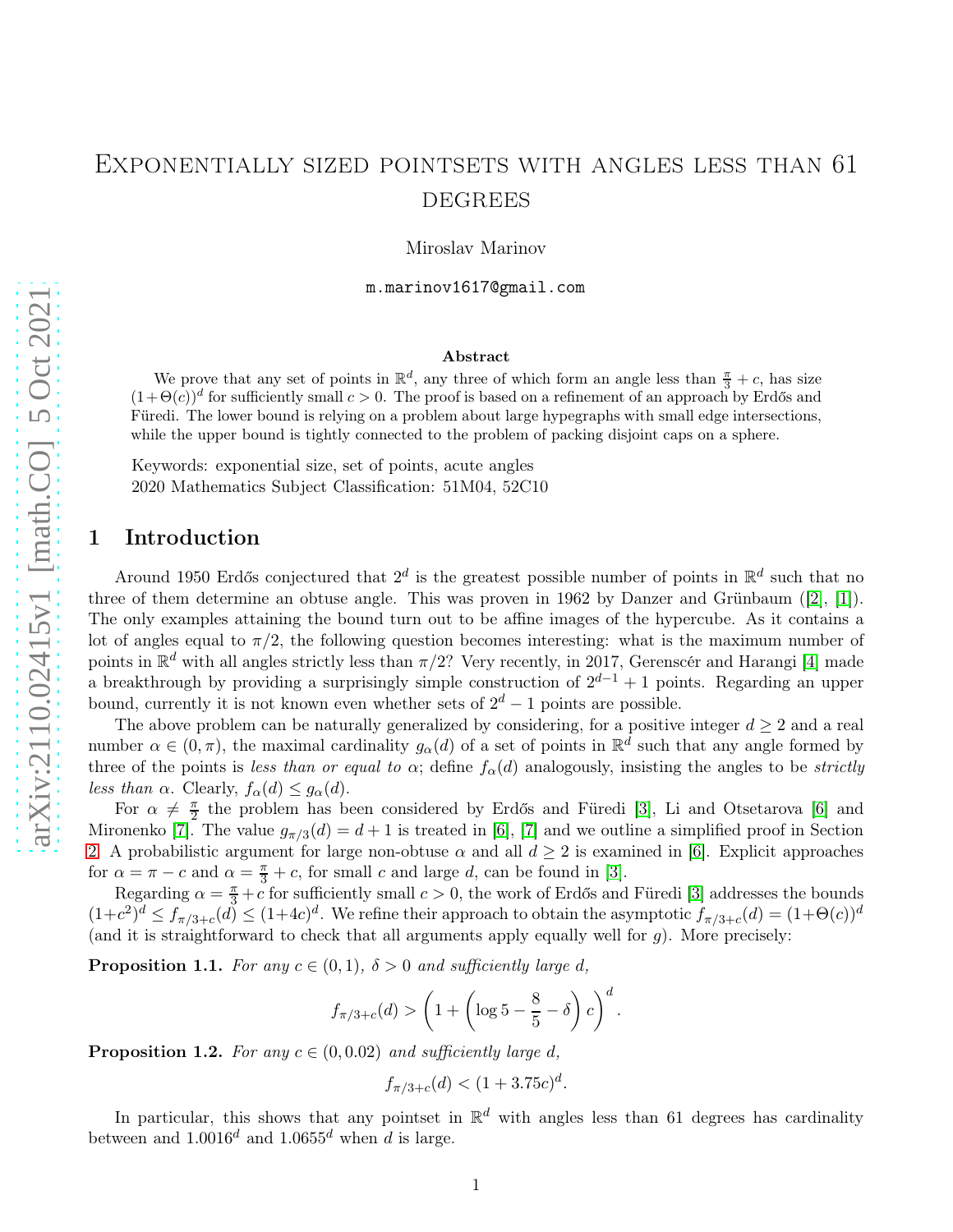# Exponentially sized pointsets with angles less than 61 degrees

Miroslav Marinov

m.marinov1617@gmail.com

#### Abstract

We prove that any set of points in  $\mathbb{R}^d$ , any three of which form an angle less than  $\frac{\pi}{3} + c$ , has size  $(1+\Theta(c))^d$  for sufficiently small  $c>0$ . The proof is based on a refinement of an approach by Erdős and Füredi. The lower bound is relying on a problem about large hypegraphs with small edge intersections, while the upper bound is tightly connected to the problem of packing disjoint caps on a sphere.

Keywords: exponential size, set of points, acute angles 2020 Mathematics Subject Classification: 51M04, 52C10

## 1 Introduction

Around 1950 Erdős conjectured that  $2^d$  is the greatest possible number of points in  $\mathbb{R}^d$  such that no three of them determine an obtuse angle. This was proven in 1962 by Danzer and Grünbaum ([\[2\]](#page-5-0), [\[1\]](#page-5-1)). The only examples attaining the bound turn out to be affine images of the hypercube. As it contains a lot of angles equal to  $\pi/2$ , the following question becomes interesting: what is the maximum number of points in  $\mathbb{R}^d$  with all angles strictly less than  $\pi/2$ ? Very recently, in 2017, Gerenscér and Harangi [\[4\]](#page-5-2) made a breakthrough by providing a surprisingly simple construction of  $2^{d-1} + 1$  points. Regarding an upper bound, currently it is not known even whether sets of  $2^d - 1$  points are possible.

The above problem can be naturally generalized by considering, for a positive integer  $d \geq 2$  and a real number  $\alpha \in (0, \pi)$ , the maximal cardinality  $g_{\alpha}(d)$  of a set of points in  $\mathbb{R}^d$  such that any angle formed by three of the points is less than or equal to  $\alpha$ ; define  $f_{\alpha}(d)$  analogously, insisting the angles to be strictly less than  $\alpha$ . Clearly,  $f_{\alpha}(d) \leq g_{\alpha}(d)$ .

For  $\alpha \neq \frac{\pi}{2}$  $\frac{\pi}{2}$  the problem has been considered by Erdős and Füredi [\[3\]](#page-5-3), Li and Otsetarova [\[6\]](#page-5-4) and Mironenko [\[7\]](#page-5-5). The value  $g_{\pi/3}(d) = d+1$  is treated in [\[6\]](#page-5-4), [7] and we outline a simplified proof in Section [2.](#page-1-0) A probabilistic argument for large non-obtuse  $\alpha$  and all  $d \geq 2$  is examined in [\[6\]](#page-5-4). Explicit approaches for  $\alpha = \pi - c$  and  $\alpha = \frac{\pi}{3} + c$ , for small c and large d, can be found in [\[3\]](#page-5-3).

Regarding  $\alpha = \frac{\pi}{3} + c$  for sufficiently small  $c > 0$ , the work of Erdős and Füredi [\[3\]](#page-5-3) addresses the bounds  $(1+c^2)^d \le f_{\pi/3+c}(d) \le (1+4c)^d$ . We refine their approach to obtain the asymptotic  $f_{\pi/3+c}(d) = (1+\Theta(c))^d$ (and it is straightforward to check that all arguments apply equally well for  $g$ ). More precisely:

<span id="page-0-0"></span>**Proposition 1.1.** For any  $c \in (0,1)$ ,  $\delta > 0$  and sufficiently large d,

$$
f_{\pi/3+c}(d) > \left(1 + \left(\log 5 - \frac{8}{5} - \delta\right)c\right)^d.
$$

<span id="page-0-1"></span>**Proposition 1.2.** For any  $c \in (0, 0.02)$  and sufficiently large d,

$$
f_{\pi/3+c}(d) < (1+3.75c)^d.
$$

In particular, this shows that any pointset in  $\mathbb{R}^d$  with angles less than 61 degrees has cardinality between and  $1.0016<sup>d</sup>$  and  $1.0655<sup>d</sup>$  when d is large.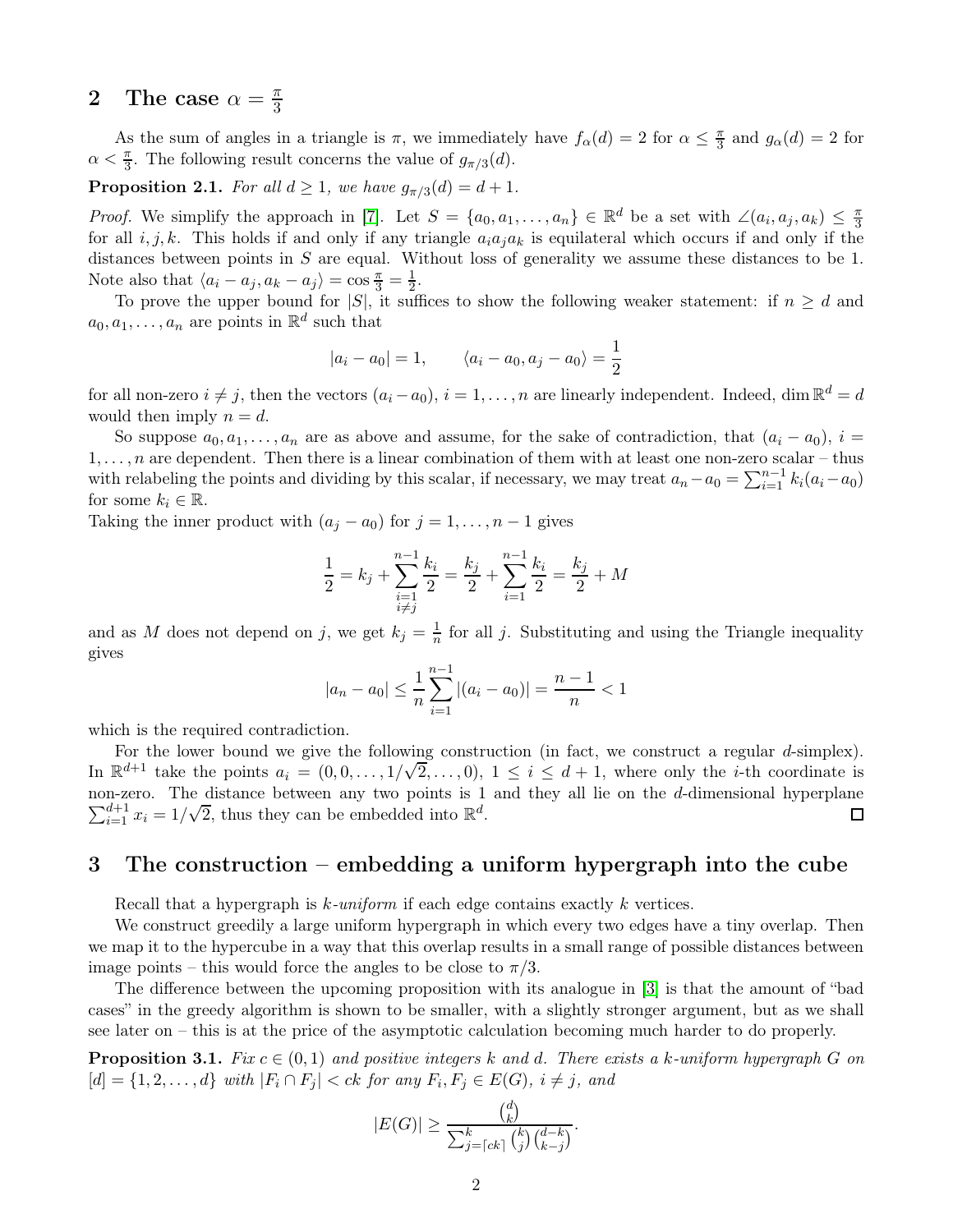#### <span id="page-1-0"></span>2 The case  $\alpha = \frac{\pi}{3}$ 3

As the sum of angles in a triangle is  $\pi$ , we immediately have  $f_{\alpha}(d) = 2$  for  $\alpha \leq \frac{\pi}{3}$  $\frac{\pi}{3}$  and  $g_{\alpha}(d) = 2$  for  $\alpha < \frac{\pi}{3}$ . The following result concerns the value of  $g_{\pi/3}(d)$ .

**Proposition 2.1.** For all  $d \geq 1$ , we have  $g_{\pi/3}(d) = d + 1$ .

*Proof.* We simplify the approach in [\[7\]](#page-5-5). Let  $S = \{a_0, a_1, \ldots, a_n\} \in \mathbb{R}^d$  be a set with  $\angle(a_i, a_j, a_k) \leq \frac{\pi}{3}$ for all  $i, j, k$ . This holds if and only if any triangle  $a_i a_j a_k$  is equilateral which occurs if and only if the distances between points in S are equal. Without loss of generality we assume these distances to be 1. Note also that  $\langle a_i - a_j, a_k - a_j \rangle = \cos \frac{\pi}{3} = \frac{1}{2}$  $\frac{1}{2}$ .

To prove the upper bound for |S|, it suffices to show the following weaker statement: if  $n \geq d$  and  $a_0, a_1, \ldots, a_n$  are points in  $\mathbb{R}^d$  such that

$$
|a_i - a_0| = 1,
$$
  $\langle a_i - a_0, a_j - a_0 \rangle = \frac{1}{2}$ 

for all non-zero  $i \neq j$ , then the vectors  $(a_i - a_0)$ ,  $i = 1, \ldots, n$  are linearly independent. Indeed, dim  $\mathbb{R}^d = d$ would then imply  $n = d$ .

So suppose  $a_0, a_1, \ldots, a_n$  are as above and assume, for the sake of contradiction, that  $(a_i - a_0)$ ,  $i =$  $1, \ldots, n$  are dependent. Then there is a linear combination of them with at least one non-zero scalar – thus with relabeling the points and dividing by this scalar, if necessary, we may treat  $a_n - a_0 = \sum_{i=1}^{n-1} k_i(a_i - a_0)$ for some  $k_i \in \mathbb{R}$ .

Taking the inner product with  $(a_j - a_0)$  for  $j = 1, \ldots, n - 1$  gives

$$
\frac{1}{2} = k_j + \sum_{\substack{i=1 \ i \neq j}}^{n-1} \frac{k_i}{2} = \frac{k_j}{2} + \sum_{i=1}^{n-1} \frac{k_i}{2} = \frac{k_j}{2} + M
$$

and as M does not depend on j, we get  $k_j = \frac{1}{n}$  $\frac{1}{n}$  for all j. Substituting and using the Triangle inequality gives

$$
|a_n - a_0| \le \frac{1}{n} \sum_{i=1}^{n-1} |(a_i - a_0)| = \frac{n-1}{n} < 1
$$

which is the required contradiction.

For the lower bound we give the following construction (in fact, we construct a regular d-simplex). In  $\mathbb{R}^{d+1}$  take the points  $a_i = (0, 0, \ldots, 1/\sqrt{2}, \ldots, 0), 1 \leq i \leq d+1$ , where only the *i*-th coordinate is non-zero. The distance between any two points is 1 and they all lie on the d-dimensional hyperplane  $\sum_{i=1}^{d+1} x_i = 1/\sqrt{2}$ , thus they can be embedded into  $\mathbb{R}^d$ .  $\Box$ 

### 3 The construction – embedding a uniform hypergraph into the cube

Recall that a hypergraph is k-uniform if each edge contains exactly k vertices.

We construct greedily a large uniform hypergraph in which every two edges have a tiny overlap. Then we map it to the hypercube in a way that this overlap results in a small range of possible distances between image points – this would force the angles to be close to  $\pi/3$ .

The difference between the upcoming proposition with its analogue in [\[3\]](#page-5-3) is that the amount of "bad cases" in the greedy algorithm is shown to be smaller, with a slightly stronger argument, but as we shall see later on – this is at the price of the asymptotic calculation becoming much harder to do properly.

<span id="page-1-1"></span>**Proposition 3.1.** Fix  $c \in (0,1)$  and positive integers k and d. There exists a k-uniform hypergraph G on  $[d] = \{1, 2, \ldots, d\}$  with  $|F_i \cap F_j| < ck$  for any  $F_i, F_j \in E(G), i \neq j$ , and

$$
|E(G)| \geq \frac{\binom{d}{k}}{\sum_{j=\lceil ck\rceil}^{k} \binom{k}{j} \binom{d-k}{k-j}}.
$$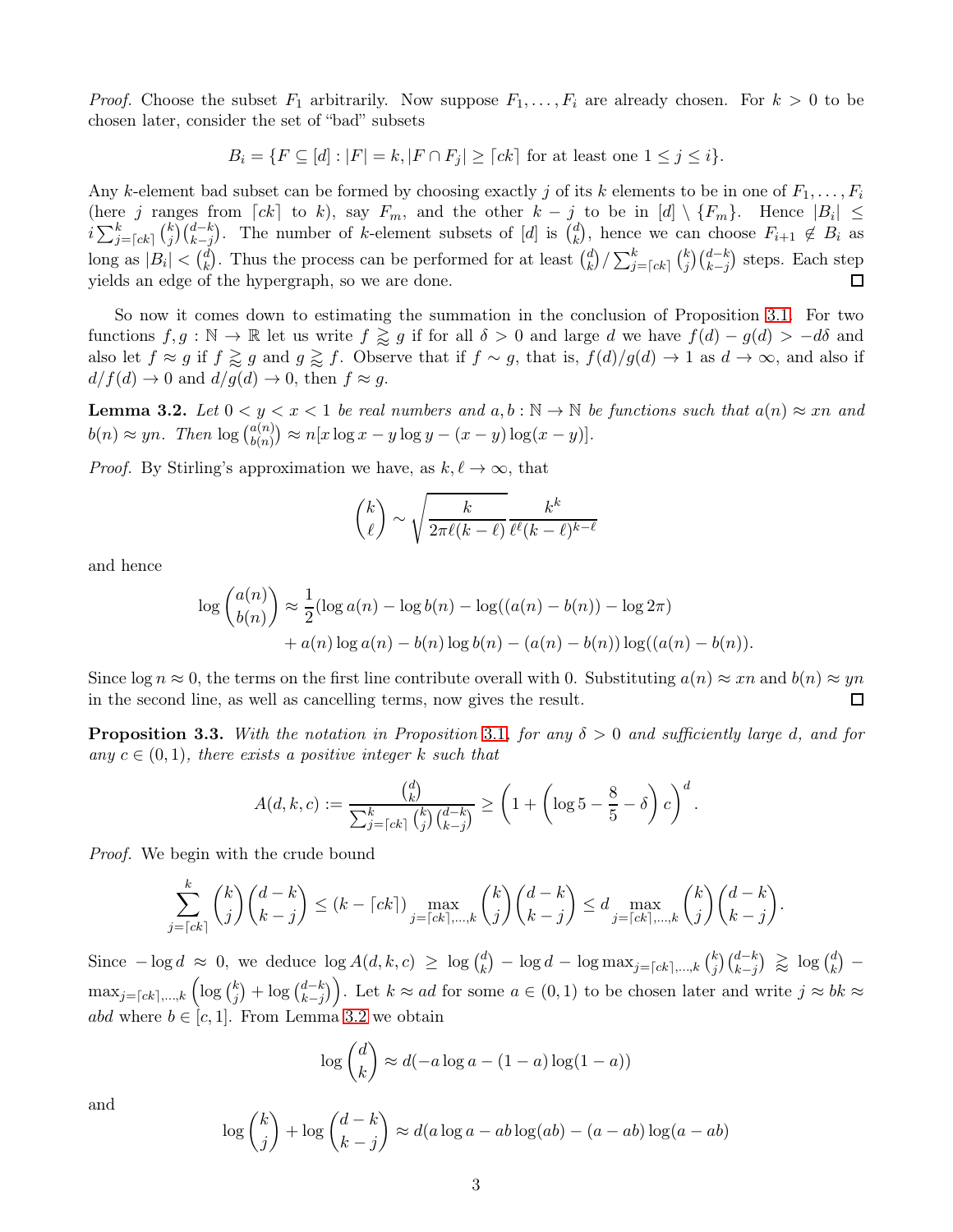*Proof.* Choose the subset  $F_1$  arbitrarily. Now suppose  $F_1, \ldots, F_i$  are already chosen. For  $k > 0$  to be chosen later, consider the set of "bad" subsets

$$
B_i = \{ F \subseteq [d] : |F| = k, |F \cap F_j| \ge \lceil ck \rceil \text{ for at least one } 1 \le j \le i \}.
$$

Any k-element bad subset can be formed by choosing exactly j of its k elements to be in one of  $F_1, \ldots, F_i$ (here j ranges from  $\lceil ck \rceil$  to k), say  $F_m$ , and the other  $k - j$  to be in  $\lceil d \rceil \setminus \{F_m\}$ . Hence  $|B_i| \leq$  $i\sum_{j=\lceil ck\rceil}^{k} {k \choose j}$  $\binom{d-k}{k-j}$ . The number of k-element subsets of [d] is  $\binom{d}{k}$  $\binom{d}{k}$ , hence we can choose  $F_{i+1} \notin B_i$  as long as  $|B_i| < \binom{d}{k}$  $\binom{d}{k}$ . Thus the process can be performed for at least  $\binom{d}{k}$  $\binom{d}{k}$ / $\sum_{j=\lceil ck \rceil}^k$  $\binom{k}{j}$  $\binom{k}{j}\binom{d-k}{k-j}$  steps. Each step yields an edge of the hypergraph, so we are done.

So now it comes down to estimating the summation in the conclusion of Proposition [3.1.](#page-1-1) For two functions  $f, g : \mathbb{N} \to \mathbb{R}$  let us write  $f \gtrsim g$  if for all  $\delta > 0$  and large d we have  $f(d) - g(d) > -d\delta$  and also let  $f \approx g$  if  $f \gtrapprox g$  and  $g \gtrapprox f$ . Observe that if  $f \sim g$ , that is,  $f(d)/g(d) \to 1$  as  $d \to \infty$ , and also if  $d/f(d) \rightarrow 0$  and  $d/g(d) \rightarrow 0$ , then  $f \approx g$ .

<span id="page-2-0"></span>**Lemma 3.2.** Let  $0 < y < x < 1$  be real numbers and  $a, b : \mathbb{N} \to \mathbb{N}$  be functions such that  $a(n) \approx xn$  and  $b(n) \approx yn$ . Then  $\log {a(n) \choose b(n)} \approx n[x \log x - y \log y - (x - y) \log (x - y)].$ 

*Proof.* By Stirling's approximation we have, as  $k, \ell \to \infty$ , that

$$
\binom{k}{\ell} \sim \sqrt{\frac{k}{2\pi\ell(k-\ell)}} \frac{k^k}{\ell^{\ell}(k-\ell)^{k-\ell}}
$$

and hence

$$
\log \binom{a(n)}{b(n)} \approx \frac{1}{2} (\log a(n) - \log b(n) - \log((a(n) - b(n)) - \log 2\pi) + a(n) \log a(n) - b(n) \log b(n) - (a(n) - b(n)) \log((a(n) - b(n))).
$$

Since  $\log n \approx 0$ , the terms on the first line contribute overall with 0. Substituting  $a(n) \approx xn$  and  $b(n) \approx yn$  in the second line, as well as cancelling terms, now gives the result. in the second line, as well as cancelling terms, now gives the result.

<span id="page-2-1"></span>**Proposition [3](#page-1-1).3.** With the notation in Proposition 3.1, for any  $\delta > 0$  and sufficiently large d, and for any  $c \in (0, 1)$ , there exists a positive integer k such that

$$
A(d,k,c):=\frac{\binom{d}{k}}{\sum_{j=\lceil ck\rceil}^{k}\binom{k}{j}\binom{d-k}{k-j}}\geq \left(1+\left(\log 5-\frac{8}{5}-\delta\right)c\right)^{d}.
$$

Proof. We begin with the crude bound

$$
\sum_{j=\lceil ck\rceil}^k \binom{k}{j} \binom{d-k}{k-j} \le (k-\lceil ck\rceil) \max_{j=\lceil ck\rceil,\dots,k} \binom{k}{j} \binom{d-k}{k-j} \le d \max_{j=\lceil ck\rceil,\dots,k} \binom{k}{j} \binom{d-k}{k-j}
$$

.

Since  $-\log d \approx 0$ , we deduce  $\log A(d, k, c) \ge \log {d \choose k}$  ${k \choose k} - \log d - \log \max_{j = \lceil ck \rceil, ..., k} {k \choose j}$  $\binom{k}{j}\binom{d-k}{k-j}$  ≥ log  $\binom{d}{k}$  $\binom{d}{k}$  –  $\max_{j=\lceil ck\rceil,...,k} \Big(\!\log \big(\!\frac{k}{j}\! \big)$  $j^{(k)}_j + \log {d-k \choose k-j}$  $\binom{d-k}{k-j}$ . Let  $k \approx ad$  for some  $a \in (0,1)$  to be chosen later and write  $j \approx bk \approx b$ abd where  $b \in [c, 1]$ . From Lemma [3.2](#page-2-0) we obtain

$$
\log \binom{d}{k} \approx d(-a \log a - (1 - a) \log(1 - a))
$$

and

$$
\log {k \choose j} + \log {d-k \choose k-j} \approx d(a \log a - ab \log(ab) - (a - ab) \log(a - ab)
$$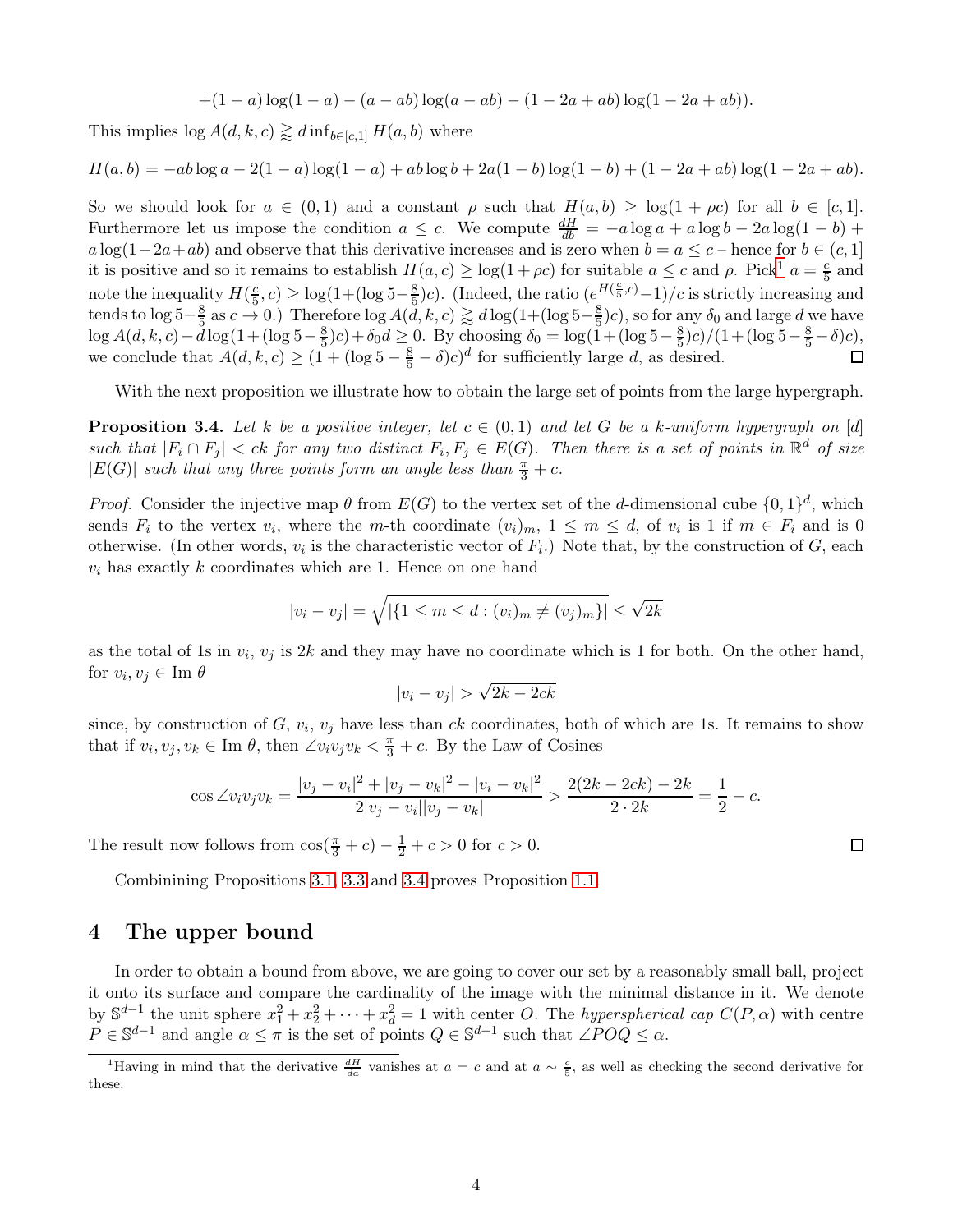$$
+(1-a)\log(1-a)-(a-ab)\log(a-ab)-(1-2a+ab)\log(1-2a+ab)).
$$

This implies  $\log A(d, k, c) \gtrapprox d \inf_{b \in [c, 1]} H(a, b)$  where

$$
H(a,b) = -ab \log a - 2(1-a) \log(1-a) + ab \log b + 2a(1-b) \log(1-b) + (1-2a+ab) \log(1-2a+ab).
$$

So we should look for  $a \in (0,1)$  and a constant  $\rho$  such that  $H(a,b) \geq \log(1 + \rho c)$  for all  $b \in [c,1]$ . Furthermore let us impose the condition  $a \leq c$ . We compute  $\frac{dH}{db} = -a \log a + a \log b - 2a \log(1 - b) +$  $a \log(1-2a+ab)$  and observe that this derivative increases and is zero when  $b = a \leq c$  – hence for  $b \in (c, 1]$ it is positive and so it remains to establish  $H(a, c) \geq \log(1 + \rho c)$  for suitable  $a \leq c$  and  $\rho$ . Pick<sup>1</sup>  $a = \frac{c}{5}$  $\frac{c}{5}$  and note the inequality  $H(\frac{c}{5})$  $(\frac{c}{5}, c) \geq \log(1+(\log 5-\frac{8}{5}))$  $\frac{8}{5}$ )c). (Indeed, the ratio  $(e^{H(\frac{c}{5},c)}-1)/c$  is strictly increasing and tends to  $\log 5-\frac{8}{5}$  $\frac{8}{5}$  as  $c \to 0$ .) Therefore  $\log A(d, k, c) \gtrapprox d \log(1 + (\log 5 - \frac{8}{5}))$  $(\frac{8}{5})c$ , so for any  $\delta_0$  and large d we have  $\log A(d, k, c) - d \log(1 + (\log 5 - \frac{8}{5}))$  $(\frac{8}{5})c + \delta_0 d \geq 0$ . By choosing  $\delta_0 = \log(1 + (\log 5 - \frac{8}{5}))$  $\frac{8}{5}$ )c)/(1+(log 5- $\frac{8}{5}$ -δ)c), we conclude that  $A(d, k, c) \geq (1 + (\log 5 - \frac{8}{5} - \delta)c)^d$  for sufficiently large d, as desired.

With the next proposition we illustrate how to obtain the large set of points from the large hypergraph.

<span id="page-3-0"></span>**Proposition 3.4.** Let k be a positive integer, let  $c \in (0,1)$  and let G be a k-uniform hypergraph on [d] such that  $|F_i \cap F_j| < ck$  for any two distinct  $F_i, F_j \in E(G)$ . Then there is a set of points in  $\mathbb{R}^d$  of size  $|E(G)|$  such that any three points form an angle less than  $\frac{\pi}{3} + c$ .

*Proof.* Consider the injective map  $\theta$  from  $E(G)$  to the vertex set of the d-dimensional cube  $\{0, 1\}^d$ , which sends  $F_i$  to the vertex  $v_i$ , where the m-th coordinate  $(v_i)_m$ ,  $1 \leq m \leq d$ , of  $v_i$  is 1 if  $m \in F_i$  and is 0 otherwise. (In other words,  $v_i$  is the characteristic vector of  $F_i$ .) Note that, by the construction of G, each  $v_i$  has exactly k coordinates which are 1. Hence on one hand

$$
|v_i - v_j| = \sqrt{|\{1 \le m \le d : (v_i)_m \ne (v_j)_m\}|} \le \sqrt{2k}
$$

as the total of 1s in  $v_i$ ,  $v_j$  is 2k and they may have no coordinate which is 1 for both. On the other hand, for  $v_i, v_j \in \text{Im } \theta$ 

$$
|v_i - v_j| > \sqrt{2k - 2ck}
$$

since, by construction of  $G, v_i, v_j$  have less than ck coordinates, both of which are 1s. It remains to show that if  $v_i, v_j, v_k \in \text{Im } \theta$ , then  $\angle v_i v_j v_k < \frac{\pi}{3} + c$ . By the Law of Cosines

$$
\cos \angle v_i v_j v_k = \frac{|v_j - v_i|^2 + |v_j - v_k|^2 - |v_i - v_k|^2}{2|v_j - v_i||v_j - v_k|} > \frac{2(2k - 2ck) - 2k}{2 \cdot 2k} = \frac{1}{2} - c.
$$

The result now follows from  $\cos(\frac{\pi}{3} + c) - \frac{1}{2} + c > 0$  for  $c > 0$ .

Combinining Propositions [3.1,](#page-1-1) [3.3](#page-2-1) and [3.4](#page-3-0) proves Proposition [1.1.](#page-0-0)

## 4 The upper bound

In order to obtain a bound from above, we are going to cover our set by a reasonably small ball, project it onto its surface and compare the cardinality of the image with the minimal distance in it. We denote by  $\mathbb{S}^{d-1}$  the unit sphere  $x_1^2 + x_2^2 + \cdots + x_d^2 = 1$  with center O. The *hyperspherical cap*  $C(P, \alpha)$  with centre  $P \in \mathbb{S}^{d-1}$  and angle  $\alpha \leq \pi$  is the set of points  $Q \in \mathbb{S}^{d-1}$  such that  $\angle POQ \leq \alpha$ .

 $\Box$ 

<sup>&</sup>lt;sup>1</sup>Having in mind that the derivative  $\frac{dH}{da}$  vanishes at  $a = c$  and at  $a \sim \frac{c}{5}$ , as well as checking the second derivative for these.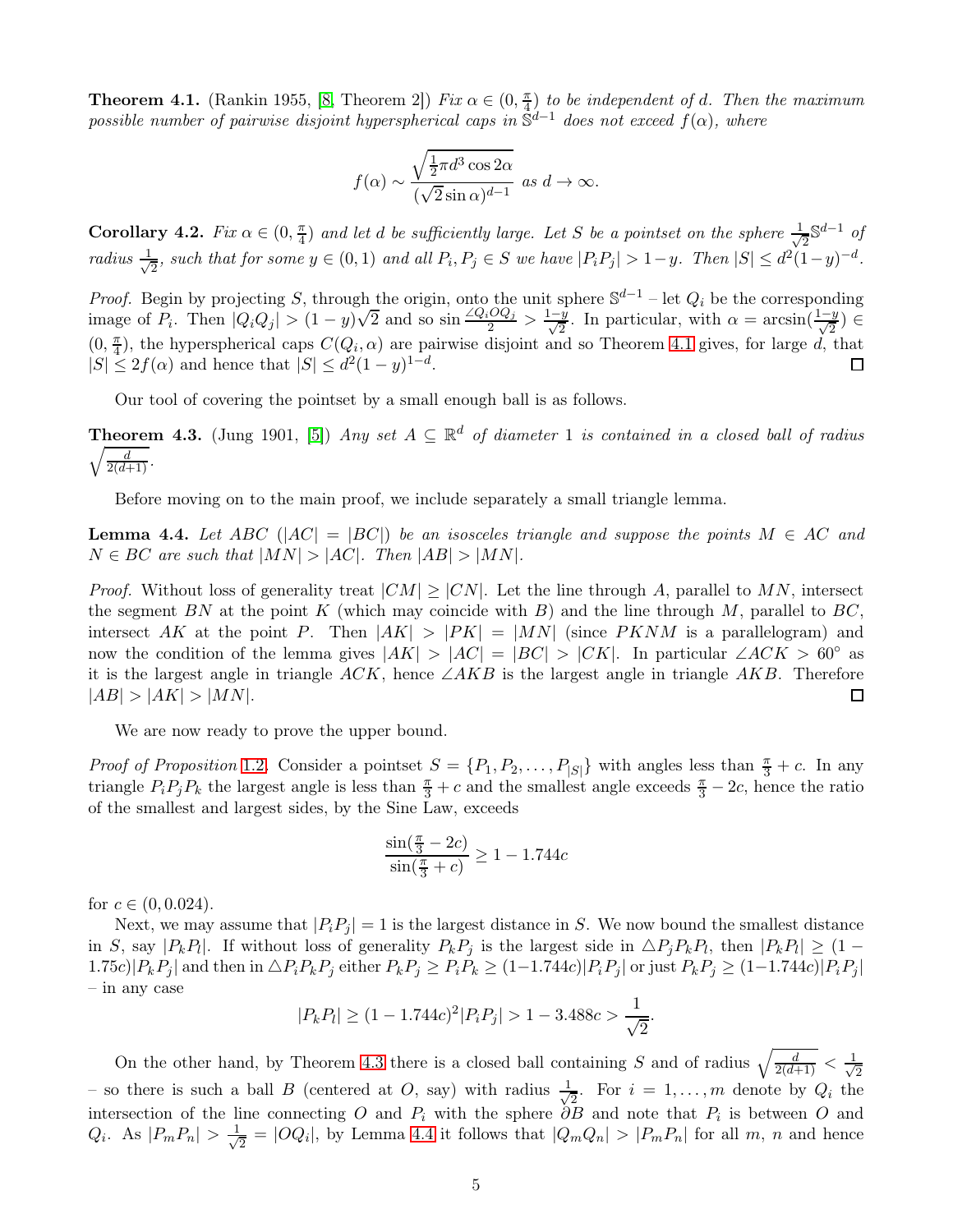<span id="page-4-0"></span>**Theorem 4.1.** (Rankin 1955, [\[8,](#page-5-6) Theorem 2])  $Fix \alpha \in (0, \frac{\pi}{4})$  $\frac{\pi}{4}$ ) to be independent of d. Then the maximum possible number of pairwise disjoint hyperspherical caps in  $\tilde{S}^{d-1}$  does not exceed  $f(\alpha)$ , where

$$
f(\alpha) \sim \frac{\sqrt{\frac{1}{2}\pi d^3 \cos 2\alpha}}{(\sqrt{2}\sin \alpha)^{d-1}}
$$
 as  $d \to \infty$ .

<span id="page-4-3"></span>Corollary 4.2.  $Fix \alpha \in (0, \frac{\pi}{4})$  $\frac{\pi}{4}$ ) and let d be sufficiently large. Let S be a pointset on the sphere  $\frac{1}{\sqrt{2}}$  $\frac{1}{2}$ S<sup>d-1</sup> of radius  $\frac{1}{\sqrt{2}}$  $\frac{1}{2}$ , such that for some  $y \in (0,1)$  and all  $P_i, P_j \in S$  we have  $|P_i P_j| > 1-y$ . Then  $|S| \leq d^2(1-y)^{-d}$ .

*Proof.* Begin by projecting S, through the origin, onto the unit sphere  $\mathbb{S}^{d-1}$  – let  $Q_i$  be the corresponding image of  $P_i$ . Then  $|Q_iQ_j| > (1 - y)\sqrt{2}$  and so sin  $\frac{\angle Q_i \overrightarrow{OQ_j}}{2} > \frac{1 - y}{\sqrt{2}}$ . In particular, with  $\alpha = \arcsin(\frac{1 - y}{\sqrt{2}}) \in$  $(0, \frac{\pi}{4})$  $\frac{\pi}{4}$ , the hyperspherical caps  $C(Q_i, \alpha)$  are pairwise disjoint and so Theorem [4.1](#page-4-0) gives, for large d, that  $|S| \leq 2f(\alpha)$  and hence that  $|S| \leq d^2(1-y)^{1-d}$ .  $\Box$ 

Our tool of covering the pointset by a small enough ball is as follows.

<span id="page-4-1"></span>**Theorem 4.3.** (Jung 1901, [\[5\]](#page-5-7)) Any set  $A \subseteq \mathbb{R}^d$  of diameter 1 is contained in a closed ball of radius  $\sqrt{\frac{d}{2(d+1)}}$ .

Before moving on to the main proof, we include separately a small triangle lemma.

<span id="page-4-2"></span>**Lemma 4.4.** Let ABC ( $|AC| = |BC|$ ) be an isosceles triangle and suppose the points  $M \in AC$  and  $N \in BC$  are such that  $|MN| > |AC|$ . Then  $|AB| > |MN|$ .

*Proof.* Without loss of generality treat  $|CM| \geq |CN|$ . Let the line through A, parallel to MN, intersect the segment BN at the point K (which may coincide with B) and the line through M, parallel to  $BC$ , intersect AK at the point P. Then  $|AK| > |PK| = |MN|$  (since PKNM is a parallelogram) and now the condition of the lemma gives  $|AK| > |AC| = |BC| > |CK|$ . In particular  $\angle ACK > 60°$  as it is the largest angle in triangle  $ACK$ , hence  $\angle AKB$  is the largest angle in triangle AKB. Therefore  $|AB| > |AK| > |MN|$ .  $\Box$ 

We are now ready to prove the upper bound.

Proof of Proposition [1](#page-0-1).2. Consider a pointset  $S = \{P_1, P_2, \ldots, P_{|S|}\}\$  with angles less than  $\frac{\pi}{3} + c$ . In any triangle  $P_iP_jP_k$  the largest angle is less than  $\frac{\pi}{3} + c$  and the smallest angle exceeds  $\frac{\pi}{3} - 2c$ , hence the ratio of the smallest and largest sides, by the Sine Law, exceeds

$$
\frac{\sin(\frac{\pi}{3} - 2c)}{\sin(\frac{\pi}{3} + c)} \ge 1 - 1.744c
$$

for  $c \in (0, 0.024)$ .

Next, we may assume that  $|P_iP_j| = 1$  is the largest distance in S. We now bound the smallest distance in S, say  $|P_kP_l|$ . If without loss of generality  $P_kP_j$  is the largest side in  $\triangle P_jP_kP_l$ , then  $|P_kP_l| \geq (1-\epsilon)$ 1.75c)| $P_kP_j$  and then in  $\Delta P_iP_kP_j$  either  $P_kP_j \ge P_iP_k \ge (1-1.744c)|P_iP_j|$  or just  $P_kP_j \ge (1-1.744c)|P_iP_j|$ – in any case

$$
|P_k P_l| \ge (1 - 1.744c)^2 |P_i P_j| > 1 - 3.488c > \frac{1}{\sqrt{2}}.
$$

On the other hand, by Theorem [4.3](#page-4-1) there is a closed ball containing S and of radius  $\sqrt{\frac{d}{2(d+1)}} < \frac{1}{\sqrt{d}}$ 2 – so there is such a ball B (centered at O, say) with radius  $\frac{1}{\sqrt{2}}$  $\frac{1}{2}$ . For  $i = 1, ..., m$  denote by  $Q_i$  the intersection of the line connecting O and  $P_i$  with the sphere  $\partial B$  and note that  $P_i$  is between O and  $Q_i$ . As  $|P_m P_n| > \frac{1}{\sqrt{2}}$  $\frac{1}{2} = |OQ_i|$ , by Lemma [4.4](#page-4-2) it follows that  $|Q_mQ_n| > |P_mP_n|$  for all m, n and hence